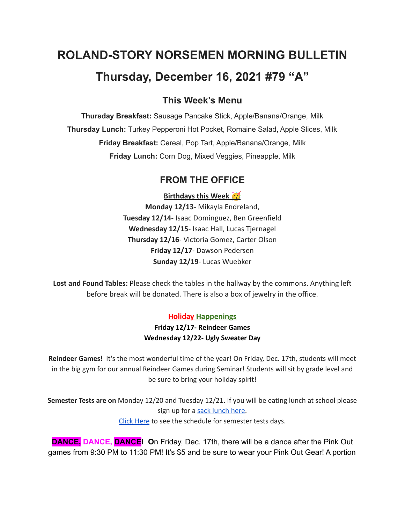# **ROLAND-STORY NORSEMEN MORNING BULLETIN Thursday, December 16, 2021 #79 "A"**

# **This Week's Menu**

**Thursday Breakfast:** Sausage Pancake Stick, Apple/Banana/Orange, Milk **Thursday Lunch:** Turkey Pepperoni Hot Pocket, Romaine Salad, Apple Slices, Milk **Friday Breakfast:** Cereal, Pop Tart, Apple/Banana/Orange, Milk **Friday Lunch:** Corn Dog, Mixed Veggies, Pineapple, Milk

# **FROM THE OFFICE**

**Birthdays this Week** 

**Monday 12/13-** Mikayla Endreland, **Tuesday 12/14**- Isaac Dominguez, Ben Greenfield **Wednesday 12/15**- Isaac Hall, Lucas Tjernagel **Thursday 12/16**- Victoria Gomez, Carter Olson **Friday 12/17**- Dawson Pedersen **Sunday 12/19**- Lucas Wuebker

**Lost and Found Tables:** Please check the tables in the hallway by the commons. Anything left before break will be donated. There is also a box of jewelry in the office.

## **Holiday Happenings**

**Friday 12/17- Reindeer Games Wednesday 12/22- Ugly Sweater Day**

**Reindeer Games!** It's the most wonderful time of the year! On Friday, Dec. 17th, students will meet in the big gym for our annual Reindeer Games during Seminar! Students will sit by grade level and be sure to bring your holiday spirit!

**Semester Tests are on** Monday 12/20 and Tuesday 12/21. If you will be eating lunch at school please sign up for a sack [lunch](https://forms.gle/QJb3jvN4BkYbhZeYA) here. Click [Here](https://drive.google.com/file/d/1f_W_f9rcsywnweiwi6fCuPDOMZBp9ou-/view?usp=sharing) to see the schedule for semester tests days.

**DANCE, DANCE, DANCE!** On Friday, Dec. 17th, there will be a dance after the Pink Out games from 9:30 PM to 11:30 PM! It's \$5 and be sure to wear your Pink Out Gear! A portion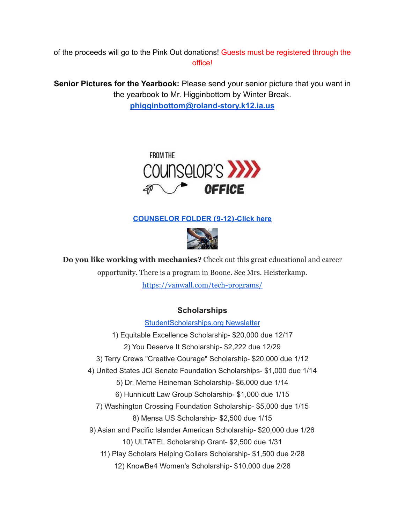of the proceeds will go to the Pink Out donations! Guests must be registered through the office!

**Senior Pictures for the Yearbook:** Please send your senior picture that you want in the yearbook to Mr. Higginbottom by Winter Break. **[phigginbottom@roland-story.k12.ia.us](mailto:phigginbottom@roland-story.k12.ia.us)**



### **[COUNSELOR](https://docs.google.com/document/d/1vmwczNPbDzXe9vFaG5LJMQ7NYDv-i4oQJHybqA65TUc/edit?usp=sharing) FOLDER (9-12)-Click here**



**Do you like working with mechanics?** Check out this great educational and career opportunity. There is a program in Boone. See Mrs. Heisterkamp. <https://vanwall.com/tech-programs/>

## **Scholarships**

[StudentScholarships.org](https://drive.google.com/file/d/1cHb9nmjbM_KTmxsJMZ9qrM2AN8PnELNo/view?usp=sharing) Newsletter 1) Equitable Excellence Scholarship- \$20,000 due 12/17 2) You Deserve It Scholarship- \$2,222 due 12/29 3) Terry Crews "Creative Courage" Scholarship- \$20,000 due 1/12 4) United States JCI Senate Foundation Scholarships- \$1,000 due 1/14 5) Dr. Meme Heineman Scholarship- \$6,000 due 1/14 6) Hunnicutt Law Group Scholarship- \$1,000 due 1/15 7) Washington Crossing Foundation Scholarship- \$5,000 due 1/15 8) Mensa US Scholarship- \$2,500 due 1/15 9) Asian and Pacific Islander American Scholarship- \$20,000 due 1/26 10) ULTATEL Scholarship Grant- \$2,500 due 1/31 11) Play Scholars Helping Collars Scholarship- \$1,500 due 2/28 12) KnowBe4 Women's Scholarship- \$10,000 due 2/28